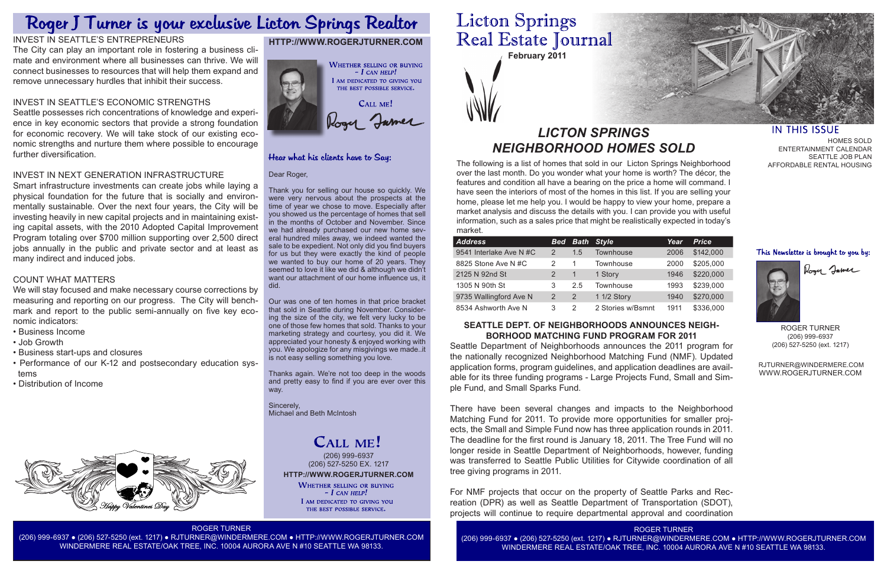

The following is a list of homes that sold in our Licton Springs Neighborhood over the last month. Do you wonder what your home is worth? The décor, the features and condition all have a bearing on the price a home will command. I have seen the interiors of most of the homes in this list. If you are selling your home, please let me help you. I would be happy to view your home, prepare a market analysis and discuss the details with you. I can provide you with useful information, such as a sales price that might be realistically expected in today's market.

# *LICTON SPRINGS NEIGHBORHOOD HOMES SOLD*

# **HTTP://WWW.ROGERJTURNER.COM**



## Hear what his clients have to Say:

### Dear Roger,

Thank you for selling our house so quickly. We were very nervous about the prospects at the time of year we chose to move. Especially after you showed us the percentage of homes that sell in the months of October and November. Since we had already purchased our new home several hundred miles away, we indeed wanted the sale to be expedient. Not only did you find buyers for us but they were exactly the kind of people we wanted to buy our home of 20 years. They seemed to love it like we did & although we didn't want our attachment of our home influence us, it did.

Our was one of ten homes in that price bracket that sold in Seattle during November. Considering the size of the city, we felt very lucky to be one of those few homes that sold. Thanks to your marketing strategy and courtesy, you did it. We appreciated your honesty & enjoyed working with you. We apologize for any misgivings we made..it is not easy selling something you love.

**HTTP://WWW.ROGERJTURNER.COM** (206) 999-6937 (206) 527-5250 EX. 1217

**WHETHER SELLING OR BUYING**  $-$  I can help! I AM DEDICATED TO GIVING YOU THE BEST POSSIBLE SERVICE.

Thanks again. We're not too deep in the woods and pretty easy to find if you are ever over this way.

Sincerely, Michael and Beth McIntosh

# CALL ME!

### ROGER TURNER

(206) 999-6937 ● (206) 527-5250 (ext. 1217) ● RJTURNER@WINDERMERE.COM ● HTTP://WWW.ROGERJTURNER.COM WINDERMERE REAL ESTATE/OAK TREE, INC. 10004 AURORA AVE N #10 SEATTLE WA 98133.

# **Licton Springs** Real Estate Journal

ROGER TURNER



### **IN THIS ISSUE**

HOMES SOLD ENTERTAINMENT CALENDAR SEATTLE JOB PLAN AFFORDABLE RENTAL HOUSING

### This Newsletter is brought to you by:



Roger Jamer

ROGER TURNER (206) 999-6937 (206) 527-5250 (ext. 1217)

 RJTURNER@WINDERMERE.COM WWW.ROGERJTURNER.COM

| <b>Address</b>          | <b>Bed</b> | <b>Bath</b> | <b>Style</b>      | Year | <b>Price</b> |
|-------------------------|------------|-------------|-------------------|------|--------------|
| 9541 Interlake Ave N #C | 2          | 1.5         | Townhouse         | 2006 | \$142,000    |
| 8825 Stone Ave N#C      | 2          |             | Townhouse         | 2000 | \$205,000    |
| 2125 N 92nd St          |            | 1           | 1 Story           | 1946 | \$220,000    |
| 1305 N 90th St          | 3          | 2.5         | Townhouse         | 1993 | \$239,000    |
| 9735 Wallingford Ave N  | 2          | 2           | 1 1/2 Story       | 1940 | \$270,000    |
| 8534 Ashworth Ave N     | 3          | 2           | 2 Stories w/Bsmnt | 1911 | \$336,000    |

### **SEATTLE DEPT. OF NEIGHBORHOODS ANNOUNCES NEIGH-BORHOOD MATCHING FUND PROGRAM FOR 2011**

Seattle Department of Neighborhoods announces the 2011 program for the nationally recognized Neighborhood Matching Fund (NMF). Updated application forms, program guidelines, and application deadlines are available for its three funding programs - Large Projects Fund, Small and Simple Fund, and Small Sparks Fund.

There have been several changes and impacts to the Neighborhood Matching Fund for 2011. To provide more opportunities for smaller projects, the Small and Simple Fund now has three application rounds in 2011. The deadline for the first round is January 18, 2011. The Tree Fund will no longer reside in Seattle Department of Neighborhoods, however, funding was transferred to Seattle Public Utilities for Citywide coordination of all tree giving programs in 2011.

For NMF projects that occur on the property of Seattle Parks and Recreation (DPR) as well as Seattle Department of Transportation (SDOT), projects will continue to require departmental approval and coordination

# Roger J Turner is your exclusive Licton Springs Realtor

# INVEST IN SEATTLE'S ENTREPRENEURS

The City can play an important role in fostering a business climate and environment where all businesses can thrive. We will connect businesses to resources that will help them expand and remove unnecessary hurdles that inhibit their success.

### INVEST IN SEATTLE'S ECONOMIC STRENGTHS

Seattle possesses rich concentrations of knowledge and experience in key economic sectors that provide a strong foundation for economic recovery. We will take stock of our existing economic strengths and nurture them where possible to encourage further diversification.

### INVEST IN NEXT GENERATION INFRASTRUCTURE

Smart infrastructure investments can create jobs while laying a physical foundation for the future that is socially and environmentally sustainable. Over the next four years, the City will be investing heavily in new capital projects and in maintaining existing capital assets, with the 2010 Adopted Capital Improvement Program totaling over \$700 million supporting over 2,500 direct jobs annually in the public and private sector and at least as many indirect and induced jobs.

# COUNT WHAT MATTERS

We will stay focused and make necessary course corrections by measuring and reporting on our progress. The City will benchmark and report to the public semi-annually on five key economic indicators:

- Business Income
- Job Growth
- Business start-ups and closures
- Performance of our K-12 and postsecondary education systems
- Distribution of Income